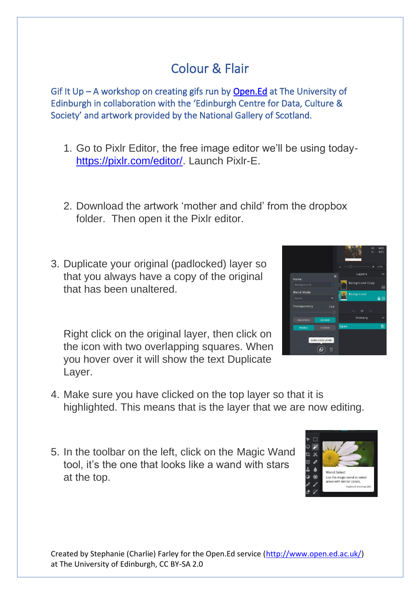## Colour & Flair

Gif It Up – A workshop on creating gifs run by [Open.Ed](http://open.ed.ac.uk/) at The University of Edinburgh in collaboration with the 'Edinburgh Centre for Data, Culture & Society' and artwork provided by the National Gallery of Scotland.

- 1. Go to Pixlr Editor, the free image editor we'll be using today[https://pixlr.com/editor/.](https://pixlr.com/editor/) Launch Pixlr-E.
- 2. Download the artwork 'mother and child' from the dropbox folder. Then open it the Pixlr editor.
- 3. Duplicate your original (padlocked) layer so that you always have a copy of the original that has been unaltered.

Right click on the original layer, then click on the icon with two overlapping squares. When you hover over it will show the text Duplicate Layer.



- 4. Make sure you have clicked on the top layer so that it is highlighted. This means that is the layer that we are now editing.
- 5. In the toolbar on the left, click on the Magic Wand tool, it's the one that looks like a wand with stars at the top.

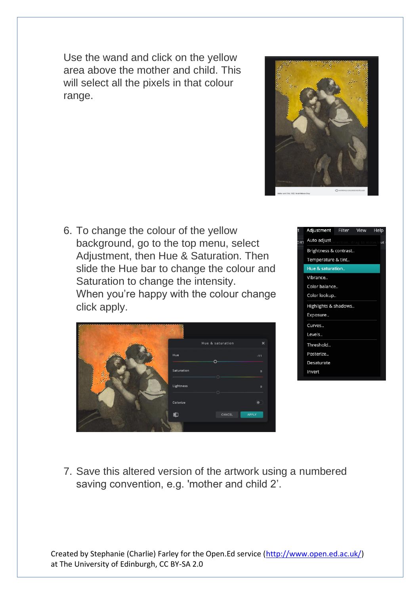Use the wand and click on the yellow area above the mother and child. This will select all the pixels in that colour range.



6. To change the colour of the yellow background, go to the top menu, select Adjustment, then Hue & Saturation. Then slide the Hue bar to change the colour and Saturation to change the intensity. When you're happy with the colour change click apply.

|            | Hue & saturation | $\boldsymbol{\mathsf{x}}$ |
|------------|------------------|---------------------------|
| Hue        | Ō.               | $-11$                     |
| Saturation |                  | $\mathbf{0}$              |
| Lightness  |                  | o                         |
| Colorize   |                  |                           |
| 中          | CANCEL           | <b>APPLY</b>              |
|            |                  |                           |



7. Save this altered version of the artwork using a numbered saving convention, e.g. 'mother and child 2'.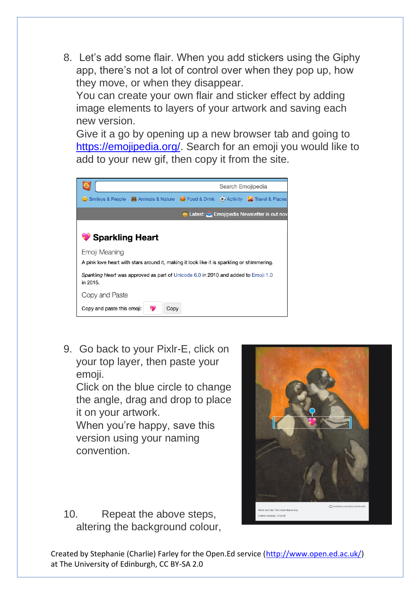8. Let's add some flair. When you add stickers using the Giphy app, there's not a lot of control over when they pop up, how they move, or when they disappear.

You can create your own flair and sticker effect by adding image elements to layers of your artwork and saving each new version.

Give it a go by opening up a new browser tab and going to [https://emojipedia.org/.](https://emojipedia.org/) Search for an emoji you would like to add to your new gif, then copy it from the site.



9. Go back to your Pixlr-E, click on your top layer, then paste your emoji.

Click on the blue circle to change the angle, drag and drop to place it on your artwork.

When you're happy, save this version using your naming convention.



10. Repeat the above steps, altering the background colour,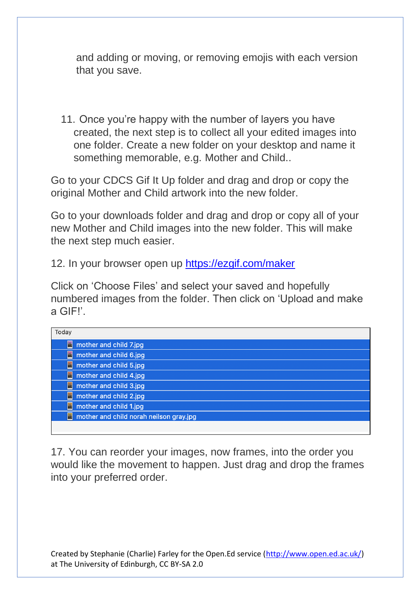and adding or moving, or removing emojis with each version that you save.

11. Once you're happy with the number of layers you have created, the next step is to collect all your edited images into one folder. Create a new folder on your desktop and name it something memorable, e.g. Mother and Child..

Go to your CDCS Gif It Up folder and drag and drop or copy the original Mother and Child artwork into the new folder.

Go to your downloads folder and drag and drop or copy all of your new Mother and Child images into the new folder. This will make the next step much easier.

12. In your browser open up<https://ezgif.com/maker>

Click on 'Choose Files' and select your saved and hopefully numbered images from the folder. Then click on 'Upload and make a GIF!'.

| Today                                        |
|----------------------------------------------|
| 橋<br>mother and child 7.jpg                  |
| 屬<br>mother and child 6.jpg                  |
| mother and child 5.jpg<br>喻                  |
| 喻<br>mother and child 4.jpg                  |
| 画<br>mother and child 3.jpg                  |
| 編<br>mother and child 2.jpg                  |
| 鳴<br>mother and child 1.jpg                  |
| mother and child norah neilson gray.jpg<br>玛 |
|                                              |

17. You can reorder your images, now frames, into the order you would like the movement to happen. Just drag and drop the frames into your preferred order.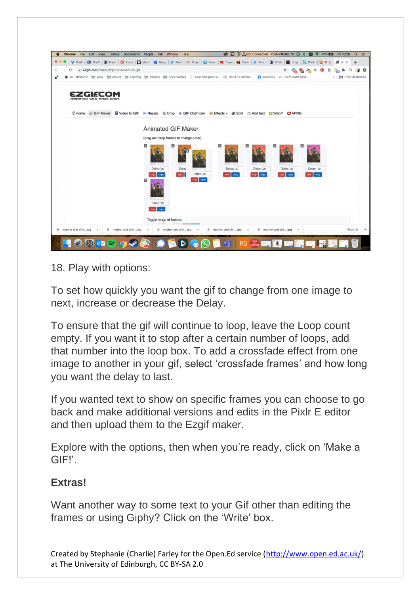

18. Play with options:

To set how quickly you want the gif to change from one image to next, increase or decrease the Delay.

To ensure that the gif will continue to loop, leave the Loop count empty. If you want it to stop after a certain number of loops, add that number into the loop box. To add a crossfade effect from one image to another in your gif, select 'crossfade frames' and how long you want the delay to last.

If you wanted text to show on specific frames you can choose to go back and make additional versions and edits in the Pixlr E editor and then upload them to the Ezgif maker.

Explore with the options, then when you're ready, click on 'Make a GIF!'.

## **Extras!**

Want another way to some text to your Gif other than editing the frames or using Giphy? Click on the 'Write' box.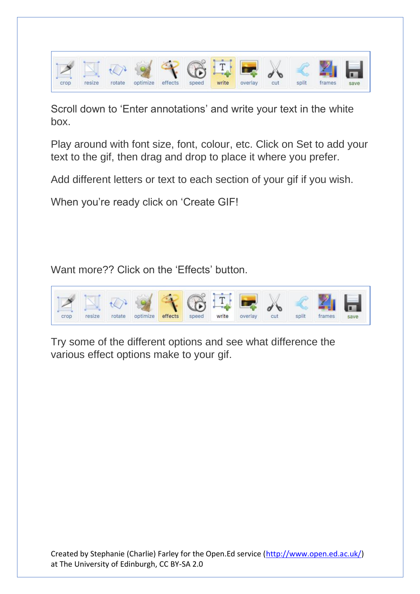

Scroll down to 'Enter annotations' and write your text in the white box.

Play around with font size, font, colour, etc. Click on Set to add your text to the gif, then drag and drop to place it where you prefer.

Add different letters or text to each section of your gif if you wish.

When you're ready click on 'Create GIF!

Want more?? Click on the 'Effects' button.



Try some of the different options and see what difference the various effect options make to your gif.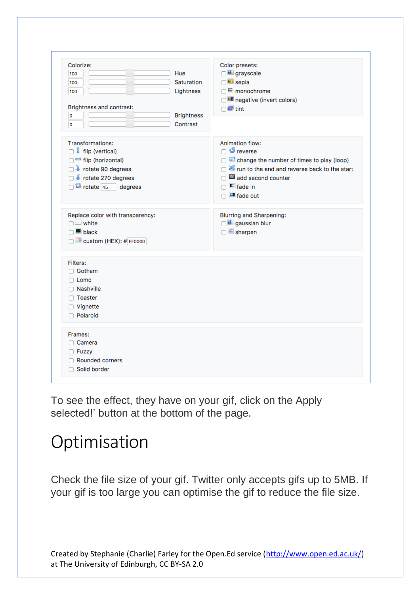| Colorize:<br>Hue<br>100<br>Saturation<br>100<br>Lightness<br>100<br>Brightness and contrast:<br><b>Brightness</b><br>0                                                | Color presets:<br>□ grayscale<br>$\Box$ sepia<br>□ E monochrome<br>negative (invert colors)<br>$\Box$ $\blacksquare$ tint                                                                                                   |
|-----------------------------------------------------------------------------------------------------------------------------------------------------------------------|-----------------------------------------------------------------------------------------------------------------------------------------------------------------------------------------------------------------------------|
| Contrast<br>0                                                                                                                                                         |                                                                                                                                                                                                                             |
| <b>Transformations:</b><br>$\Box$ if flip (vertical)<br>flip (horizontal)<br>o v rotate 90 degrees<br>rotate 270 degrees<br>$\Box$ <sup>12</sup> rotate 45<br>degrees | <b>Animation flow:</b><br>$\Box$ $\bullet$ reverse<br>change the number of times to play (loop)<br>□ <sup>■</sup> run to the end and reverse back to the start<br>add second counter<br>$\Box$ E fade in<br>$\Box$ fade out |
| Replace color with transparency:<br>$\Box$ white<br>$\Box$ black<br>Custom (HEX): # FF0000                                                                            | <b>Blurring and Sharpening:</b><br>gaussian blur<br>□ sharpen                                                                                                                                                               |
| Filters:<br>□ Gotham<br>$\Box$ Lomo<br>□ Nashville<br>□ Toaster<br>□ Vignette<br>Polaroid                                                                             |                                                                                                                                                                                                                             |
| Frames:<br>□ Camera<br>□ Fuzzy<br>Rounded corners<br>□ Solid border                                                                                                   |                                                                                                                                                                                                                             |

To see the effect, they have on your gif, click on the Apply selected!' button at the bottom of the page.

## Optimisation

Check the file size of your gif. Twitter only accepts gifs up to 5MB. If your gif is too large you can optimise the gif to reduce the file size.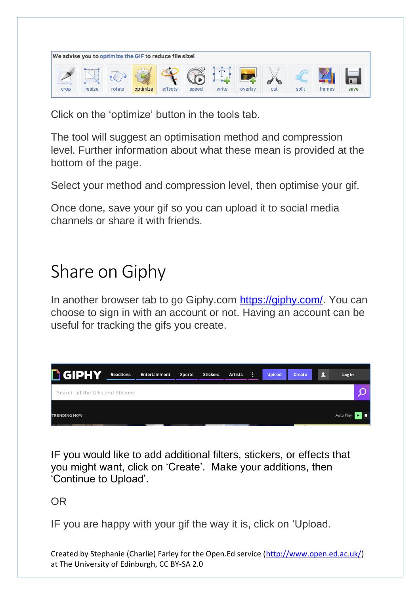

Click on the 'optimize' button in the tools tab.

The tool will suggest an optimisation method and compression level. Further information about what these mean is provided at the bottom of the page.

Select your method and compression level, then optimise your gif.

Once done, save your gif so you can upload it to social media channels or share it with friends.

## Share on Giphy

In another browser tab to go Giphy.com [https://giphy.com/.](https://giphy.com/) You can choose to sign in with an account or not. Having an account can be useful for tracking the gifs you create.

| <b>h GIPHY</b>                   | Reactions | Entertainment | <b>Sports</b> | <b>Stickers</b> | <b>Artists</b> | <b>Upload</b> | Create | Log In    |  |
|----------------------------------|-----------|---------------|---------------|-----------------|----------------|---------------|--------|-----------|--|
| Search all the GIFs and Stickers |           |               |               |                 |                |               |        |           |  |
| <b>TRENDING NOW</b>              |           |               |               |                 |                |               |        | Auto Play |  |

IF you would like to add additional filters, stickers, or effects that you might want, click on 'Create'. Make your additions, then 'Continue to Upload'.

OR

IF you are happy with your gif the way it is, click on 'Upload.